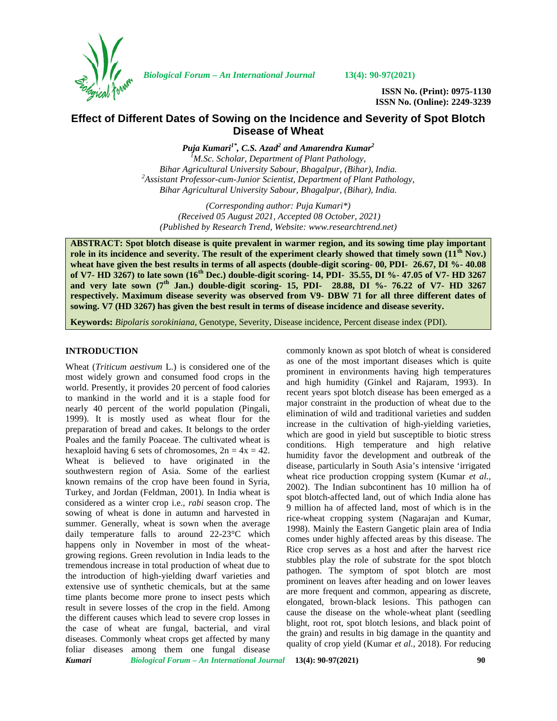

*Biological Forum – An International Journal* **13(4): 90-97(2021)**

**ISSN No. (Print): 0975-1130 ISSN No. (Online): 2249-3239**

# **Effect of Different Dates of Sowing on the Incidence and Severity of Spot Blotch Disease of Wheat**

*Puja Kumari1\*, C.S. Azad<sup>2</sup> and Amarendra Kumar<sup>2</sup> <sup>1</sup>M.Sc. Scholar, Department of Plant Pathology, Bihar Agricultural University Sabour, Bhagalpur, (Bihar), India. <sup>2</sup>Assistant Professor-cum-Junior Scientist, Department of Plant Pathology, Bihar Agricultural University Sabour, Bhagalpur, (Bihar), India.*

*(Corresponding author: Puja Kumari\*) (Received 05 August 2021, Accepted 08 October, 2021) (Published by Research Trend, Website: [www.researchtrend.net\)](www.researchtrend.net)*

**ABSTRACT: Spot blotch disease is quite prevalent in warmer region, and its sowing time play important role in its incidence and severity. The result of the experiment clearly showed that timely sown (11th Nov.) wheat have given the best results in terms of all aspects (double-digit scoring- 00, PDI- 26.67, DI %- 40.08 of V7- HD 3267) to late sown (16th Dec.) double-digit scoring- 14, PDI- 35.55, DI %- 47.05 of V7- HD 3267 and very late sown (7th Jan.) double-digit scoring- 15, PDI- 28.88, DI %- 76.22 of V7- HD 3267 respectively. Maximum disease severity was observed from V9- DBW 71 for all three different dates of sowing. V7 (HD 3267) has given the best result in terms of disease incidence and disease severity.**

**Keywords:** *Bipolaris sorokiniana*, Genotype, Severity, Disease incidence, Percent disease index (PDI).

# **INTRODUCTION**

*Kumari Biological Forum – An International Journal* **13(4): 90-97(2021) 90** Wheat (*Triticum aestivum* L.) is considered one of the most widely grown and consumed food crops in the world. Presently, it provides 20 percent of food calories to mankind in the world and it is a staple food for nearly 40 percent of the world population (Pingali, 1999). It is mostly used as wheat flour for the preparation of bread and cakes. It belongs to the order Poales and the family Poaceae. The cultivated wheat is hexaploid having 6 sets of chromosomes,  $2n = 4x = 42$ . Wheat is believed to have originated in the southwestern region of Asia. Some of the earliest known remains of the crop have been found in Syria, Turkey, and Jordan (Feldman, 2001). In India wheat is considered as a winter crop i.e., *rabi* season crop. The sowing of wheat is done in autumn and harvested in summer. Generally, wheat is sown when the average daily temperature falls to around 22-23°C which happens only in November in most of the wheat growing regions. Green revolution in India leads to the tremendous increase in total production of wheat due to the introduction of high-yielding dwarf varieties and extensive use of synthetic chemicals, but at the same time plants become more prone to insect pests which result in severe losses of the crop in the field. Among the different causes which lead to severe crop losses in the case of wheat are fungal, bacterial, and viral diseases. Commonly wheat crops get affected by many foliar diseases among them one fungal disease

commonly known as spot blotch of wheat is considered as one of the most important diseases which is quite prominent in environments having high temperatures and high humidity (Ginkel and Rajaram*,* 1993). In recent years spot blotch disease has been emerged as a major constraint in the production of wheat due to the elimination of wild and traditional varieties and sudden increase in the cultivation of high-yielding varieties, which are good in yield but susceptible to biotic stress conditions. High temperature and high relative humidity favor the development and outbreak of the disease, particularly in South Asia's intensive 'irrigated wheat rice production cropping system (Kumar *et al.,* 2002). The Indian subcontinent has 10 million ha of spot blotch-affected land, out of which India alone has 9 million ha of affected land, most of which is in the rice-wheat cropping system (Nagarajan and Kumar, 1998). Mainly the Eastern Gangetic plain area of India comes under highly affected areas by this disease. The Rice crop serves as a host and after the harvest rice stubbles play the role of substrate for the spot blotch pathogen. The symptom of spot blotch are most prominent on leaves after heading and on lower leaves are more frequent and common, appearing as discrete, elongated, brown-black lesions. This pathogen can cause the disease on the whole-wheat plant (seedling blight, root rot, spot blotch lesions, and black point of the grain) and results in big damage in the quantity and quality of crop yield (Kumar *et al.,* 2018). For reducing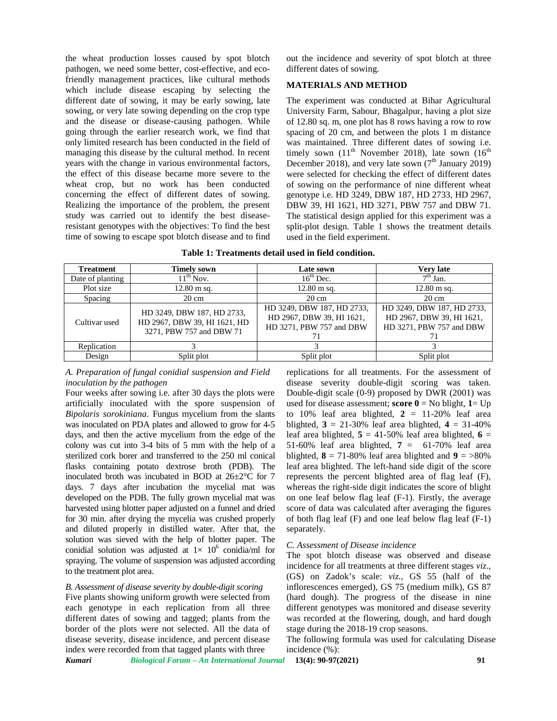the wheat production losses caused by spot blotch pathogen, we need some better, cost-effective, and ecofriendly management practices, like cultural methods which include disease escaping by selecting the different date of sowing, it may be early sowing, late sowing, or very late sowing depending on the crop type and the disease or disease-causing pathogen. While going through the earlier research work, we find that only limited research has been conducted in the field of managing this disease by the cultural method. In recent years with the change in various environmental factors, the effect of this disease became more severe to the wheat crop, but no work has been conducted concerning the effect of different dates of sowing. Realizing the importance of the problem, the present study was carried out to identify the best diseaseresistant genotypes with the objectives: To find the best time of sowing to escape spot blotch disease and to find out the incidence and severity of spot blotch at three different dates of sowing.

# **MATERIALS AND METHOD**

The experiment was conducted at Bihar Agricultural University Farm, Sabour, Bhagalpur, having a plot size of 12.80 sq. m, one plot has 8 rows having a row to row spacing of 20 cm, and between the plots 1 m distance was maintained. Three different dates of sowing i.e. timely sown  $(11<sup>th</sup>$  November 2018), late sown  $(16<sup>th</sup>$ December 2018), and very late sown  $(7<sup>th</sup>$  January 2019) were selected for checking the effect of different dates of sowing on the performance of nine different wheat genotype i.e. HD 3249, DBW 187, HD 2733, HD 2967, DBW 39, HI 1621, HD 3271, PBW 757 and DBW 71. The statistical design applied for this experiment was a split-plot design. Table 1 shows the treatment details used in the field experiment.

| <b>Treatment</b> | <b>Timely sown</b>                                                                     | Late sown                                                                           | <b>Very late</b>                                                                    |
|------------------|----------------------------------------------------------------------------------------|-------------------------------------------------------------------------------------|-------------------------------------------------------------------------------------|
| Date of planting | $11^{th}$ Nov.                                                                         | $16th$ Dec.                                                                         | $7th$ Jan.                                                                          |
| Plot size        | $12.80 \text{ m}$ sq.                                                                  | $12.80 \text{ m}$ sq.                                                               | $12.80 \text{ m}$ sq.                                                               |
| Spacing          | $20 \text{ cm}$                                                                        | $20 \text{ cm}$                                                                     | $20 \text{ cm}$                                                                     |
| Cultivar used    | HD 3249, DBW 187, HD 2733,<br>HD 2967, DBW 39, HI 1621, HD<br>3271, PBW 757 and DBW 71 | HD 3249, DBW 187, HD 2733,<br>HD 2967, DBW 39, HI 1621,<br>HD 3271, PBW 757 and DBW | HD 3249, DBW 187, HD 2733,<br>HD 2967, DBW 39, HI 1621,<br>HD 3271, PBW 757 and DBW |
| Replication      |                                                                                        |                                                                                     |                                                                                     |
| Design           | Split plot                                                                             | Split plot                                                                          | Split plot                                                                          |

#### **Table 1: Treatments detail used in field condition.**

*A. Preparation of fungal conidial suspension and Field inoculation by the pathogen*

Four weeks after sowing i.e. after 30 days the plots were artificially inoculated with the spore suspension of *Bipolaris sorokiniana*. Fungus mycelium from the slants was inoculated on PDA plates and allowed to grow for 4-5 days, and then the active mycelium from the edge of the colony was cut into 3-4 bits of 5 mm with the help of a sterilized cork borer and transferred to the 250 ml conical flasks containing potato dextrose broth (PDB). The inoculated broth was incubated in BOD at 26±2°C for 7 days. 7 days after incubation the mycelial mat was developed on the PDB. The fully grown mycelial mat was harvested using blotter paper adjusted on a funnel and dried for 30 min. after drying the mycelia was crushed properly and diluted properly in distilled water. After that, the solution was sieved with the help of blotter paper. The conidial solution was adjusted at  $1 \times 10^6$  conidia/ml for spraying. The volume of suspension was adjusted according to the treatment plot area.

# *B. Assessment of disease severity by double-digit scoring*

Five plants showing uniform growth were selected from each genotype in each replication from all three different dates of sowing and tagged; plants from the border of the plots were not selected. All the data of disease severity, disease incidence, and percent disease index were recorded from that tagged plants with three

replications for all treatments. For the assessment of disease severity double-digit scoring was taken. Double-digit scale (0-9) proposed by DWR (2001) was used for disease assessment; **score**  $0 = No$  blight,  $1 = Up$ to 10% leaf area blighted, **2** = 11-20% leaf area blighted,  $3 = 21 - 30\%$  leaf area blighted,  $4 = 31 - 40\%$ leaf area blighted,  $5 = 41-50\%$  leaf area blighted,  $6 =$ 51-60% leaf area blighted,  $7 = 61-70$ % leaf area blighted,  $8 = 71-80\%$  leaf area blighted and  $9 = >80\%$ leaf area blighted. The left-hand side digit of the score represents the percent blighted area of flag leaf (F), whereas the right-side digit indicates the score of blight on one leaf below flag leaf (F-1). Firstly, the average score of data was calculated after averaging the figures of both flag leaf (F) and one leaf below flag leaf (F-1) separately.

#### *C. Assessment of Disease incidence*

The spot blotch disease was observed and disease incidence for all treatments at three different stages *viz*., (GS) on Zadok's scale: *viz.*, GS 55 (half of the inflorescences emerged), GS 75 (medium milk), GS 87 (hard dough). The progress of the disease in nine different genotypes was monitored and disease severity was recorded at the flowering, dough, and hard dough stage during the 2018-19 crop seasons.

The following formula was used for calculating Disease incidence (%):

*Kumari Biological Forum – An International Journal* **13(4): 90-97(2021) 91**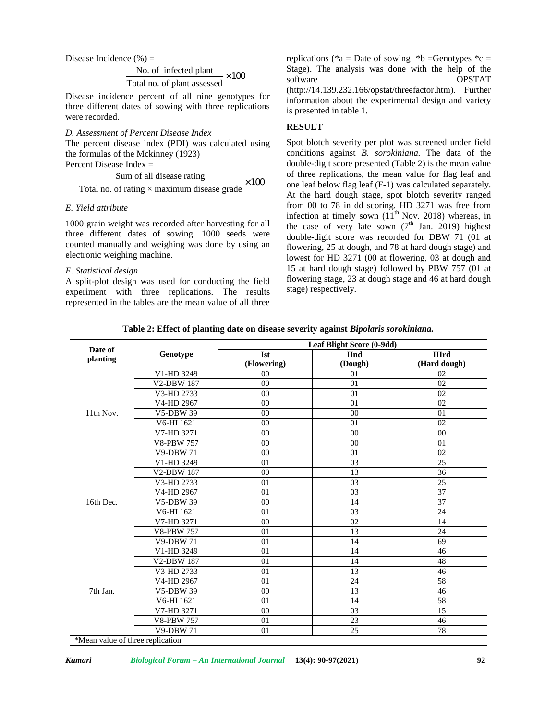Disease Incidence  $(\% )$  =

No. of infected plant  $\times 100$ Total no. of plant assessed

Disease incidence percent of all nine genotypes for three different dates of sowing with three replications were recorded.

*D. Assessment of Percent Disease Index* The percent disease index (PDI) was calculated using the formulas of the Mckinney (1923) Percent Disease Index =

Sum of all disease rating  $- \times 100$ Total no. of rating  $\times$  maximum disease grade

### *E. Yield attribute*

1000 grain weight was recorded after harvesting for all three different dates of sowing. 1000 seeds were counted manually and weighing was done by using an electronic weighing machine.

### *F. Statistical design*

A split-plot design was used for conducting the field experiment with three replications. The results represented in the tables are the mean value of all three software replications (\*a = Date of sowing \*b = Genotypes \*c = Stage). The analysis was done with the help of the OPSTAT [\(http://14.139.232.166/opstat/threefactor.htm](http://14.139.232.166/opstat/threefactor.htm)). Further information about the experimental design and variety is presented in table 1.

# **RESULT**

 $\times 100$  one leaf below flag leaf (F-1) was calculated separately. Spot blotch severity per plot was screened under field conditions against *B. sorokiniana.* The data of the double-digit score presented (Table 2) is the mean value of three replications, the mean value for flag leaf and At the hard dough stage, spot blotch severity ranged from 00 to 78 in dd scoring. HD 3271 was free from infection at timely sown  $(11<sup>th</sup>$  Nov. 2018) whereas, in the case of very late sown  $(7<sup>th</sup>$  Jan. 2019) highest double-digit score was recorded for DBW 71 (01 at flowering, 25 at dough, and 78 at hard dough stage) and lowest for HD 3271 (00 at flowering, 03 at dough and 15 at hard dough stage) followed by PBW 757 (01 at flowering stage, 23 at dough stage and 46 at hard dough stage) respectively.

**Table 2: Effect of planting date on disease severity against** *Bipolaris sorokiniana.*

| Date of                             |                          | Leaf Blight Score (0-9dd) |                |              |  |
|-------------------------------------|--------------------------|---------------------------|----------------|--------------|--|
| planting                            | Genotype                 | <b>Ist</b>                | <b>IInd</b>    | <b>IIIrd</b> |  |
|                                     |                          | (Flowering)               | (Dough)        | (Hard dough) |  |
|                                     | V1-HD 3249               | 0 <sub>0</sub>            | 0 <sub>1</sub> | 02           |  |
|                                     | V2-DBW 187               | 00                        | 01             | 02           |  |
|                                     | V3-HD 2733               | 0 <sub>0</sub>            | 01             | 02           |  |
|                                     | V4-HD 2967               | 0 <sub>0</sub>            | 01             | 02           |  |
| 11th Nov.                           | <b>V5-DBW 39</b>         | 00                        | 0 <sup>0</sup> | 01           |  |
|                                     | V6-HI 1621               | 00                        | 01             | 02           |  |
|                                     | V7-HD 3271               | 0 <sub>0</sub>            | 0 <sub>0</sub> | 00           |  |
|                                     | <b>V8-PBW 757</b>        | 0 <sub>0</sub>            | 0 <sup>0</sup> | 01           |  |
|                                     | <b>V9-DBW 71</b>         | 00                        | 01             | 02           |  |
|                                     | V1-HD 3249               | 01                        | 03             | 25           |  |
|                                     | <b>V2-DBW 187</b>        | 0 <sub>0</sub>            | 13             | 36           |  |
|                                     | V3-HD 2733               | 01                        | 03             | 25           |  |
|                                     | V4-HD 2967               | 01                        | 03             | 37           |  |
| 16th Dec.                           | <b>V5-DBW 39</b>         | 00                        | 14             | 37           |  |
|                                     | V6-HI 1621               | 01                        | 03             | 24           |  |
|                                     | V7-HD 3271               | 00                        | 02             | 14           |  |
|                                     | <b>V8-PBW 757</b>        | 01                        | 13             | 24           |  |
|                                     | <b>V9-DBW 71</b>         | 01                        | 14             | 69           |  |
|                                     | V1-HD 3249               | 01                        | 14             | 46           |  |
|                                     | <b>V2-DBW 187</b>        | 01                        | 14             | 48           |  |
| 7th Jan.                            | V3-HD 2733               | 01                        | 13             | 46           |  |
|                                     | V4-HD 2967               | 01                        | 24             | 58           |  |
|                                     | <b>V5-DBW 39</b>         | 00                        | 13             | 46           |  |
|                                     | $\overline{V}$ 6-HI 1621 | 01                        | 14             | 58           |  |
|                                     | V7-HD 3271               | 00                        | 03             | 15           |  |
|                                     | <b>V8-PBW 757</b>        | 01                        | 23             | 46           |  |
|                                     | <b>V9-DBW 71</b>         | 01                        | 25             | 78           |  |
| $*$ Moon volve of three replication |                          |                           |                |              |  |

\*Mean value of three replication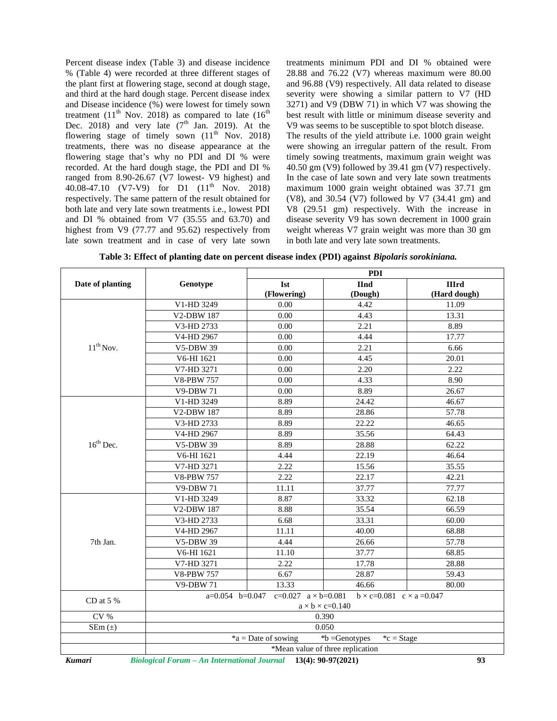Percent disease index (Table 3) and disease incidence % (Table 4) were recorded at three different stages of the plant first at flowering stage, second at dough stage, and third at the hard dough stage. Percent disease index and Disease incidence (%) were lowest for timely sown treatment (11<sup>th</sup> Nov. 2018) as compared to late (16<sup>th</sup>) Dec. 2018) and very late  $(7<sup>th</sup>$  Jan. 2019). At the flowering stage of timely sown  $(11<sup>th</sup>$  Nov. 2018) treatments, there was no disease appearance at the flowering stage that's why no PDI and DI % were recorded. At the hard dough stage, the PDI and DI % ranged from 8.90-26.67 (V7 lowest- V9 highest) and 40.08-47.10 (V7-V9) for D1 (11<sup>th</sup> Nov. 2018) respectively. The same pattern of the result obtained for both late and very late sown treatments i.e., lowest PDI and DI % obtained from V7 (35.55 and 63.70) and highest from V9 (77.77 and 95.62) respectively from late sown treatment and in case of very late sown

treatments minimum PDI and DI % obtained were 28.88 and 76.22 (V7) whereas maximum were 80.00 and 96.88 (V9) respectively. All data related to disease severity were showing a similar pattern to V7 (HD 3271) and V9 (DBW 71) in which V7 was showing the best result with little or minimum disease severity and V9 was seems to be susceptible to spot blotch disease. The results of the yield attribute i.e. 1000 grain weight were showing an irregular pattern of the result. From timely sowing treatments, maximum grain weight was 40.50 gm (V9) followed by 39.41 gm (V7) respectively. In the case of late sown and very late sown treatments maximum 1000 grain weight obtained was 37.71 gm (V8), and 30.54 (V7) followed by V7 (34.41 gm) and V8 (29.51 gm) respectively. With the increase in disease severity V9 has sown decrement in 1000 grain weight whereas V7 grain weight was more than 30 gm in both late and very late sown treatments.

|  |  | Table 3: Effect of planting date on percent disease index (PDI) against <i>Bipolaris sorokiniana</i> . |  |
|--|--|--------------------------------------------------------------------------------------------------------|--|
|--|--|--------------------------------------------------------------------------------------------------------|--|

|                  |                                                          | <b>PDI</b>  |                                                                   |                    |
|------------------|----------------------------------------------------------|-------------|-------------------------------------------------------------------|--------------------|
| Date of planting | Genotype                                                 | <b>Ist</b>  | <b>IInd</b>                                                       | <b>IIIrd</b>       |
|                  |                                                          | (Flowering) | (Dough)                                                           | (Hard dough)       |
|                  | V1-HD 3249                                               | 0.00        | 4.42                                                              | 11.09              |
|                  | V2-DBW 187                                               | 0.00        | 4.43                                                              | 13.31              |
|                  | V3-HD 2733                                               | 0.00        | 2.21                                                              | 8.89               |
|                  | V4-HD 2967                                               | 0.00        | 4.44                                                              | 17.77              |
| $11^{th}$ Nov.   | <b>V5-DBW 39</b>                                         | 0.00        | 2.21                                                              | 6.66               |
|                  | V6-HI 1621                                               | 0.00        | 4.45                                                              | 20.01              |
|                  | V7-HD 3271                                               | 0.00        | 2.20                                                              | 2.22               |
|                  | <b>V8-PBW 757</b>                                        | 0.00        | 4.33                                                              | 8.90               |
|                  | <b>V9-DBW 71</b>                                         | 0.00        | 8.89                                                              | $\overline{26.67}$ |
|                  | V1-HD 3249                                               | 8.89        | 24.42                                                             | 46.67              |
|                  | V2-DBW 187                                               | 8.89        | 28.86                                                             | 57.78              |
|                  | V3-HD 2733                                               | 8.89        | 22.22                                                             | 46.65              |
|                  | V4-HD 2967                                               | 8.89        | 35.56                                                             | 64.43              |
| $16th$ Dec.      | V5-DBW 39                                                | 8.89        | 28.88                                                             | 62.22              |
|                  | V6-HI 1621                                               | 4.44        | 22.19                                                             | 46.64              |
|                  | V7-HD 3271                                               | 2.22        | 15.56                                                             | 35.55              |
|                  | <b>V8-PBW 757</b>                                        | 2.22        | 22.17                                                             | 42.21              |
|                  | <b>V9-DBW 71</b>                                         | 11.11       | 37.77                                                             | 77.77              |
|                  | V1-HD 3249                                               | 8.87        | 33.32                                                             | 62.18              |
|                  | V2-DBW 187                                               | 8.88        | 35.54                                                             | 66.59              |
|                  | V3-HD 2733                                               | 6.68        | 33.31                                                             | 60.00              |
|                  | V4-HD 2967                                               | 11.11       | 40.00                                                             | 68.88              |
| 7th Jan.         | V5-DBW 39                                                | 4.44        | 26.66                                                             | 57.78              |
|                  | V6-HI 1621                                               | 11.10       | 37.77                                                             | 68.85              |
|                  | V7-HD 3271                                               | 2.22        | 17.78                                                             | 28.88              |
|                  | <b>V8-PBW 757</b>                                        | 6.67        | 28.87                                                             | 59.43              |
|                  | <b>V9-DBW 71</b>                                         | 13.33       | 46.66                                                             | 80.00              |
| CD at $5\%$      | $a=0.054$ b=0.047                                        | $c = 0.027$ | $a \times b = 0.081$<br>$b \times c = 0.081$ $c \times a = 0.047$ |                    |
|                  | $a \times b \times c = 0.140$                            |             |                                                                   |                    |
| CV %             | 0.390                                                    |             |                                                                   |                    |
| $SEm(\pm)$       |                                                          | 0.050       |                                                                   |                    |
|                  | *b =Genotypes<br>$a =$ Date of sowing<br>${}^*c = Stage$ |             |                                                                   |                    |
|                  |                                                          |             | *Mean value of three replication                                  |                    |

*Kumari Biological Forum – An International Journal* **13(4): 90-97(2021) 93**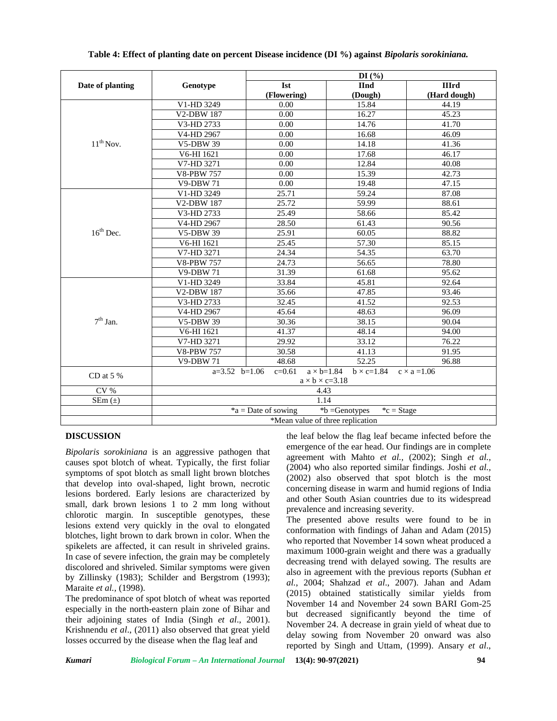|                       |                                                                                                                                  | DI(%)                                                   |             |              |
|-----------------------|----------------------------------------------------------------------------------------------------------------------------------|---------------------------------------------------------|-------------|--------------|
| Date of planting      | Genotype                                                                                                                         | <b>Ist</b>                                              | <b>IInd</b> | <b>IIIrd</b> |
|                       |                                                                                                                                  | (Flowering)                                             | (Dough)     | (Hard dough) |
|                       | V1-HD 3249                                                                                                                       | 0.00                                                    | 15.84       | 44.19        |
|                       | V2-DBW 187                                                                                                                       | 0.00                                                    | 16.27       | 45.23        |
|                       | V3-HD 2733                                                                                                                       | 0.00                                                    | 14.76       | 41.70        |
|                       | V4-HD 2967                                                                                                                       | 0.00                                                    | 16.68       | 46.09        |
| $11^{th}$ Nov.        | V5-DBW 39                                                                                                                        | 0.00                                                    | 14.18       | 41.36        |
|                       | V6-HI 1621                                                                                                                       | 0.00                                                    | 17.68       | 46.17        |
|                       | V7-HD 3271                                                                                                                       | 0.00                                                    | 12.84       | 40.08        |
|                       | <b>V8-PBW 757</b>                                                                                                                | 0.00                                                    | 15.39       | 42.73        |
|                       | <b>V9-DBW 71</b>                                                                                                                 | 0.00                                                    | 19.48       | 47.15        |
|                       | V1-HD 3249                                                                                                                       | 25.71                                                   | 59.24       | 87.08        |
|                       | V2-DBW 187                                                                                                                       | 25.72                                                   | 59.99       | 88.61        |
|                       | V3-HD 2733                                                                                                                       | 25.49                                                   | 58.66       | 85.42        |
|                       | V4-HD 2967                                                                                                                       | 28.50                                                   | 61.43       | 90.56        |
| $16^{\text{th}}$ Dec. | <b>V5-DBW 39</b>                                                                                                                 | 25.91                                                   | 60.05       | 88.82        |
|                       | V6-HI 1621                                                                                                                       | 25.45                                                   | 57.30       | 85.15        |
|                       | V7-HD 3271                                                                                                                       | 24.34                                                   | 54.35       | 63.70        |
|                       | <b>V8-PBW 757</b>                                                                                                                | 24.73                                                   | 56.65       | 78.80        |
|                       | <b>V9-DBW 71</b>                                                                                                                 | 31.39                                                   | 61.68       | 95.62        |
|                       | V1-HD 3249                                                                                                                       | 33.84                                                   | 45.81       | 92.64        |
|                       | V2-DBW 187                                                                                                                       | 35.66                                                   | 47.85       | 93.46        |
|                       | V3-HD 2733                                                                                                                       | 32.45                                                   | 41.52       | 92.53        |
|                       | V4-HD 2967                                                                                                                       | 45.64                                                   | 48.63       | 96.09        |
| $7^{\rm th}$ Jan.     | V5-DBW 39                                                                                                                        | 30.36                                                   | 38.15       | 90.04        |
|                       | V6-HI 1621                                                                                                                       | 41.37                                                   | 48.14       | 94.00        |
|                       | $\overline{\text{V7}}$ -HD 3271                                                                                                  | 29.92                                                   | 33.12       | 76.22        |
|                       | <b>V8-PBW 757</b>                                                                                                                | 30.58                                                   | 41.13       | 91.95        |
|                       | <b>V9-DBW 71</b>                                                                                                                 | 48.68                                                   | 52.25       | 96.88        |
| CD at 5 $\%$          | $a \times b = 1.84$<br>$a=3.52$ $b=1.06$<br>$c=0.61$<br>$b \times c=1.84$<br>$c \times a = 1.06$<br>$a \times b \times c = 3.18$ |                                                         |             |              |
| CV %                  | 4.43                                                                                                                             |                                                         |             |              |
| $SEm(\pm)$            | 1.14                                                                                                                             |                                                         |             |              |
|                       |                                                                                                                                  | *a = Date of sowing<br>*b =Genotypes<br>${}^*c =$ Stage |             |              |
|                       | *Mean value of three replication                                                                                                 |                                                         |             |              |

### **Table 4: Effect of planting date on percent Disease incidence (DI %) against** *Bipolaris sorokiniana.*

# **DISCUSSION**

*Bipolaris sorokiniana* is an aggressive pathogen that causes spot blotch of wheat. Typically, the first foliar symptoms of spot blotch as small light brown blotches that develop into oval-shaped, light brown, necrotic lesions bordered. Early lesions are characterized by small, dark brown lesions 1 to 2 mm long without chlorotic margin. In susceptible genotypes, these lesions extend very quickly in the oval to elongated blotches, light brown to dark brown in color. When the spikelets are affected, it can result in shriveled grains. In case of severe infection, the grain may be completely discolored and shriveled. Similar symptoms were given by Zillinsky (1983); Schilder and Bergstrom (1993); Maraite *et al.,* (1998).

The predominance of spot blotch of wheat was reported especially in the north-eastern plain zone of Bihar and their adjoining states of India (Singh *et al*., 2001). Krishnendu *et al*., (2011) also observed that great yield losses occurred by the disease when the flag leaf and

the leaf below the flag leaf became infected before the emergence of the ear head. Our findings are in complete agreement with Mahto *et al.,* (2002); Singh *et al.,* (2004) who also reported similar findings. Joshi *et al.,* (2002) also observed that spot blotch is the most concerning disease in warm and humid regions of India and other South Asian countries due to its widespread prevalence and increasing severity.

The presented above results were found to be in conformation with findings of Jahan and Adam (2015) who reported that November 14 sown wheat produced a maximum 1000-grain weight and there was a gradually decreasing trend with delayed sowing. The results are also in agreement with the previous reports (Subhan *et al.*, 2004; Shahzad *et al*., 2007). Jahan and Adam (2015) obtained statistically similar yields from November 14 and November 24 sown BARI Gom-25 but decreased significantly beyond the time of November 24. A decrease in grain yield of wheat due to delay sowing from November 20 onward was also reported by Singh and Uttam, (1999). Ansary *et al*.,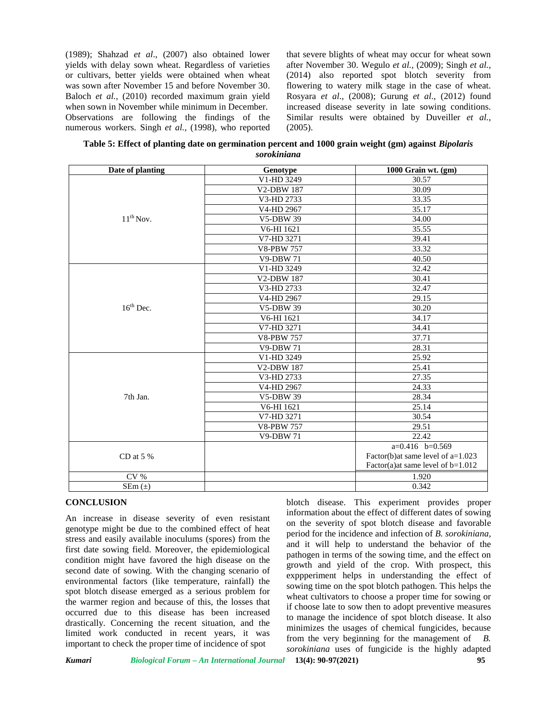(1989); Shahzad *et al*., (2007) also obtained lower yields with delay sown wheat. Regardless of varieties or cultivars, better yields were obtained when wheat was sown after November 15 and before November 30. Baloch *et al.,* (2010) recorded maximum grain yield when sown in November while minimum in December. Observations are following the findings of the numerous workers. Singh *et al.,* (1998), who reported that severe blights of wheat may occur for wheat sown after November 30. Wegulo *et al.,* (2009); Singh *et al.,* (2014) also reported spot blotch severity from flowering to watery milk stage in the case of wheat. Rosyara *et al*., (2008); Gurung *et al*., (2012) found increased disease severity in late sowing conditions. Similar results were obtained by Duveiller *et al.,*  $(2005)$ .

**Table 5: Effect of planting date on germination percent and 1000 grain weight (gm) against** *Bipolaris sorokiniana*

| Date of planting | Genotype                        | 1000 Grain wt. (gm)                 |
|------------------|---------------------------------|-------------------------------------|
|                  | V1-HD 3249                      | 30.57                               |
|                  | V2-DBW 187                      | 30.09                               |
|                  | V3-HD 2733                      | 33.35                               |
|                  | $\overline{\text{V4}}$ -HD 2967 | 35.17                               |
| $11^{th}$ Nov.   | <b>V5-DBW 39</b>                | 34.00                               |
|                  | V6-HI 1621                      | 35.55                               |
|                  | V7-HD 3271                      | 39.41                               |
|                  | <b>V8-PBW 757</b>               | 33.32                               |
|                  | <b>V9-DBW 71</b>                | 40.50                               |
|                  | V1-HD 3249                      | 32.42                               |
|                  | V2-DBW 187                      | 30.41                               |
|                  | V3-HD 2733                      | 32.47                               |
|                  | V4-HD 2967                      | 29.15                               |
| $16^{th}$ Dec.   | <b>V5-DBW 39</b>                | 30.20                               |
|                  | V6-HI 1621                      | 34.17                               |
|                  | V7-HD 3271                      | 34.41                               |
|                  | <b>V8-PBW 757</b>               | 37.71                               |
|                  | <b>V9-DBW 71</b>                | 28.31                               |
|                  | V1-HD 3249                      | 25.92                               |
|                  | <b>V2-DBW 187</b>               | 25.41                               |
|                  | V3-HD 2733                      | 27.35                               |
|                  | V4-HD 2967                      | 24.33                               |
| 7th Jan.         | <b>V5-DBW 39</b>                | 28.34                               |
|                  | V6-HI 1621                      | 25.14                               |
|                  | V7-HD 3271                      | 30.54                               |
|                  | <b>V8-PBW 757</b>               | 29.51                               |
|                  | <b>V9-DBW 71</b>                | 22.42                               |
|                  |                                 | $a=0.416$ $b=0.569$                 |
| CD at $5%$       |                                 | Factor(b)at same level of a=1.023   |
|                  |                                 | Factor(a)at same level of $b=1.012$ |
| CV %             |                                 | 1.920                               |
| $SEm(\pm)$       |                                 | 0.342                               |

#### **CONCLUSION**

An increase in disease severity of even resistant genotype might be due to the combined effect of heat stress and easily available inoculums (spores) from the first date sowing field. Moreover, the epidemiological condition might have favored the high disease on the second date of sowing. With the changing scenario of environmental factors (like temperature, rainfall) the spot blotch disease emerged as a serious problem for the warmer region and because of this, the losses that occurred due to this disease has been increased drastically. Concerning the recent situation, and the limited work conducted in recent years, it was important to check the proper time of incidence of spot

blotch disease. This experiment provides proper information about the effect of different dates of sowing on the severity of spot blotch disease and favorable period for the incidence and infection of *B. sorokiniana,* and it will help to understand the behavior of the pathogen in terms of the sowing time, and the effect on growth and yield of the crop. With prospect, this exppperiment helps in understanding the effect of sowing time on the spot blotch pathogen. This helps the wheat cultivators to choose a proper time for sowing or if choose late to sow then to adopt preventive measures to manage the incidence of spot blotch disease. It also minimizes the usages of chemical fungicides, because from the very beginning for the management of *B. sorokiniana* uses of fungicide is the highly adapted

*Kumari Biological Forum – An International Journal* **13(4): 90-97(2021) 95**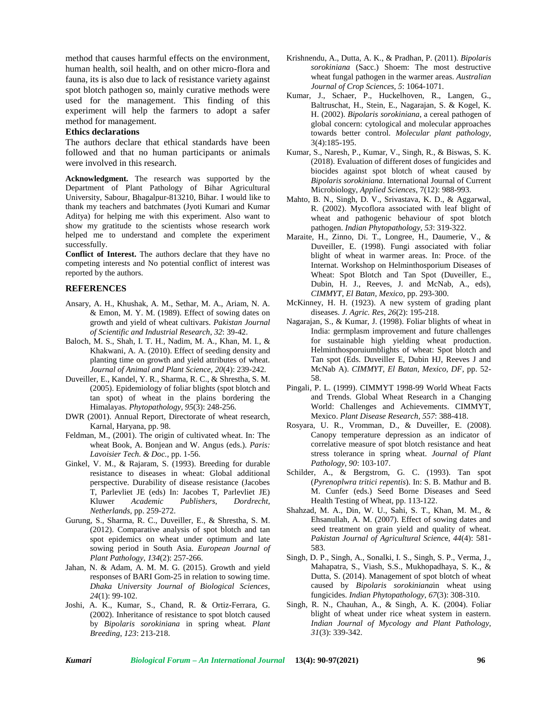method that causes harmful effects on the environment, human health, soil health, and on other micro-flora and fauna, its is also due to lack of resistance variety against spot blotch pathogen so, mainly curative methods were used for the management. This finding of this experiment will help the farmers to adopt a safer method for management.

#### **Ethics declarations**

The authors declare that ethical standards have been followed and that no human participants or animals were involved in this research.

**Acknowledgment.** The research was supported by the Department of Plant Pathology of Bihar Agricultural University, Sabour, Bhagalpur-813210, Bihar. I would like to thank my teachers and batchmates (Jyoti Kumari and Kumar Aditya) for helping me with this experiment. Also want to show my gratitude to the scientists whose research work helped me to understand and complete the experiment successfully.

**Conflict of Interest.** The authors declare that they have no competing interests and No potential conflict of interest was reported by the authors.

### **REFERENCES**

- Ansary, A. H., Khushak, A. M., Sethar, M. A., Ariam, N. A. & Emon, M. Y. M. (1989). Effect of sowing dates on growth and yield of wheat cultivars. *Pakistan Journal of Scientific and Industrial Research*, *32*: 39-42.
- Baloch, M. S., Shah, I. T. H., Nadim, M. A., Khan, M. I., & Khakwani, A. A. (2010). Effect of seeding density and planting time on growth and yield attributes of wheat. *Journal of Animal and Plant Science*, *20*(4): 239-242.
- Duveiller, E., Kandel, Y. R., Sharma, R. C., & Shrestha, S. M. (2005). Epidemiology of foliar blights (spot blotch and tan spot) of wheat in the plains bordering the Himalayas. *Phytopathology, 95*(3): 248-256.
- DWR (2001). Annual Report, Directorate of wheat research, Karnal, Haryana, pp. 98.
- Feldman, M., (2001). The origin of cultivated wheat. In: The wheat Book, A. Bonjean and W. Angus (eds.). *Paris: Lavoisier Tech. & Doc.,* pp. 1-56.
- Ginkel, V. M., & Rajaram, S. (1993). Breeding for durable resistance to diseases in wheat: Global additional perspective. Durability of disease resistance (Jacobes T, Parlevliet JE (eds) In: Jacobes T, Parlevliet JE) Kluwer *Academic Publishers, Dordrecht, Netherlands,* pp. 259-272.
- Gurung, S., Sharma, R. C., Duveiller, E., & Shrestha, S. M. (2012). Comparative analysis of spot blotch and tan spot epidemics on wheat under optimum and late sowing period in South Asia. *European Journal of Plant Pathology*, *134*(2): 257-266.
- Jahan, N. & Adam, A. M. M. G. (2015). Growth and yield responses of BARI Gom-25 in relation to sowing time. *Dhaka University Journal of Biological Sciences*, *24*(1): 99-102.
- Joshi, A. K., Kumar, S., Chand, R. & Ortiz-Ferrara, G. (2002). Inheritance of resistance to spot blotch caused by *Bipolaris sorokiniana* in spring wheat*. Plant Breeding*, *123*: 213-218.
- Krishnendu, A., Dutta, A. K., & Pradhan, P. (2011). *Bipolaris sorokiniana* (Sacc.) Shoem: The most destructive wheat fungal pathogen in the warmer areas. *Australian Journal of Crop Sciences*, *5*: 1064-1071.
- Kumar, J., Schaer, P., Huckelhoven, R., Langen, G., Baltruschat, H., Stein, E., Nagarajan, S. & Kogel, K. H. (2002). *Bipolaris sorokiniana*, a cereal pathogen of global concern: cytological and molecular approaches towards better control. *Molecular plant pathology*, 3(4):185-195.
- Kumar, S., Naresh, P., Kumar, V., Singh, R., & Biswas, S. K. (2018). Evaluation of different doses of fungicides and biocides against spot blotch of wheat caused by *Bipolaris sorokiniana*. International Journal of Current Microbiology, *Applied Sciences*, 7(12): 988-993.
- Mahto, B. N., Singh, D. V., Srivastava, K. D., & Aggarwal, R. (2002). Mycoflora associated with leaf blight of wheat and pathogenic behaviour of spot blotch pathogen. *Indian Phytopathology*, *53*: 319-322.
- Maraite, H., Zinno, Di. T., Longree, H., Daumerie, V., & Duveiller, E. (1998). Fungi associated with foliar blight of wheat in warmer areas. In: Proce. of the Internat. Workshop on Helminthosporium Diseases of Wheat: Spot Blotch and Tan Spot (Duveiller, E., Dubin, H. J., Reeves, J. and McNab, A., eds), *CIMMYT, El Batan, Mexico*, pp. 293-300.
- McKinney, H. H. (1923). A new system of grading plant diseases. *J. Agric. Res*, *26*(2): 195-218.
- Nagarajan, S., & Kumar, J. (1998). Foliar blights of wheat in India: germplasm improvement and future challenges for sustainable high yielding wheat production. Helminthosporuiumblights of wheat: Spot blotch and Tan spot (Eds. Duveiller E, Dubin HJ, Reeves J and McNab A). *CIMMYT, El Batan, Mexico, DF*, pp. 52- 58.
- Pingali, P. L. (1999). CIMMYT 1998-99 World Wheat Facts and Trends. Global Wheat Research in a Changing World: Challenges and Achievements. CIMMYT, Mexico. *Plant Disease Research, 557*: 388-418.
- Rosyara, U. R., Vromman, D., & Duveiller, E. (2008). Canopy temperature depression as an indicator of correlative measure of spot blotch resistance and heat stress tolerance in spring wheat. *Journal of Plant Pathology*, *90*: 103-107.
- Schilder, A., & Bergstrom, G. C. (1993). Tan spot (*Pyrenoplwra tritici repentis*). In: S. B. Mathur and B. M. Cunfer (eds.) Seed Borne Diseases and Seed Health Testing of Wheat, pp. 113-122.
- Shahzad, M. A., Din, W. U., Sahi, S. T., Khan, M. M., & Ehsanullah, A. M. (2007). Effect of sowing dates and seed treatment on grain yield and quality of wheat. *Pakistan Journal of Agricultural Scienc*e, *44*(4): 581- 583.
- Singh, D. P., Singh, A., Sonalki, I. S., Singh, S. P., Verma, J., Mahapatra, S., Viash, S.S., Mukhopadhaya, S. K., & Dutta, S. (2014). Management of spot blotch of wheat caused by *Bipolaris sorokiniana*in wheat using fungicides. *Indian Phytopathology*, *67*(3): 308-310.
- Singh, R. N., Chauhan, A., & Singh, A. K. (2004). Foliar blight of wheat under rice wheat system in eastern. *Indian Journal of Mycology and Plant Pathology*, *31*(3): 339-342.